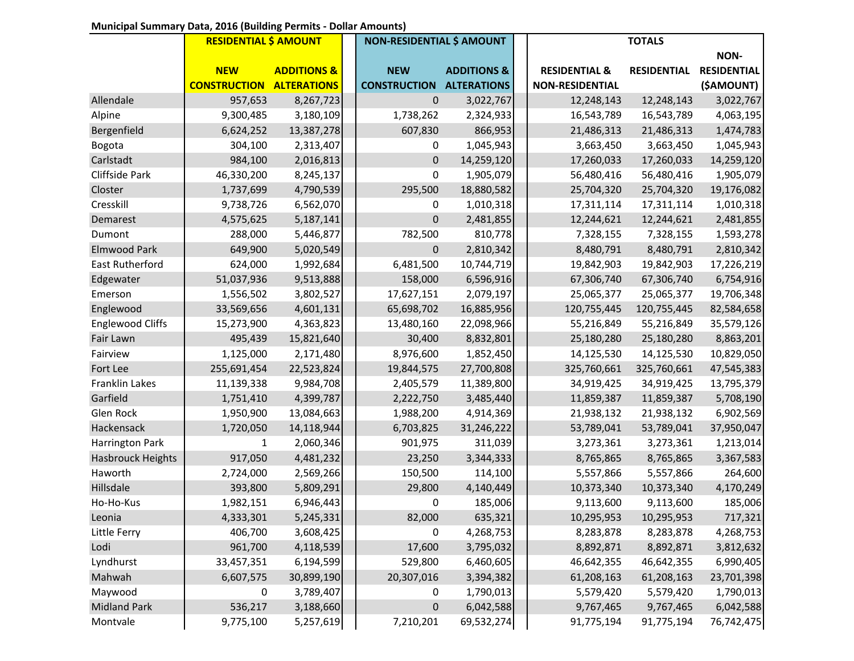## **Municipal Summary Data, 2016 (Building Permits - Dollar Amounts)**

|                         | <b>RESIDENTIAL \$ AMOUNT</b> |                        | <b>NON-RESIDENTIAL \$ AMOUNT</b> |                        |  | <b>TOTALS</b>            |                    |                    |
|-------------------------|------------------------------|------------------------|----------------------------------|------------------------|--|--------------------------|--------------------|--------------------|
|                         |                              |                        |                                  |                        |  |                          |                    | NON-               |
|                         | <b>NEW</b>                   | <b>ADDITIONS &amp;</b> | <b>NEW</b>                       | <b>ADDITIONS &amp;</b> |  | <b>RESIDENTIAL &amp;</b> | <b>RESIDENTIAL</b> | <b>RESIDENTIAL</b> |
|                         | <b>CONSTRUCTION</b>          | <b>ALTERATIONS</b>     | <b>CONSTRUCTION</b>              | <b>ALTERATIONS</b>     |  | <b>NON-RESIDENTIAL</b>   |                    | (\$AMOUNT)         |
| Allendale               | 957,653                      | 8,267,723              | $\boldsymbol{0}$                 | 3,022,767              |  | 12,248,143               | 12,248,143         | 3,022,767          |
| Alpine                  | 9,300,485                    | 3,180,109              | 1,738,262                        | 2,324,933              |  | 16,543,789               | 16,543,789         | 4,063,195          |
| Bergenfield             | 6,624,252                    | 13,387,278             | 607,830                          | 866,953                |  | 21,486,313               | 21,486,313         | 1,474,783          |
| Bogota                  | 304,100                      | 2,313,407              | 0                                | 1,045,943              |  | 3,663,450                | 3,663,450          | 1,045,943          |
| Carlstadt               | 984,100                      | 2,016,813              | $\boldsymbol{0}$                 | 14,259,120             |  | 17,260,033               | 17,260,033         | 14,259,120         |
| <b>Cliffside Park</b>   | 46,330,200                   | 8,245,137              | 0                                | 1,905,079              |  | 56,480,416               | 56,480,416         | 1,905,079          |
| Closter                 | 1,737,699                    | 4,790,539              | 295,500                          | 18,880,582             |  | 25,704,320               | 25,704,320         | 19,176,082         |
| Cresskill               | 9,738,726                    | 6,562,070              | 0                                | 1,010,318              |  | 17,311,114               | 17,311,114         | 1,010,318          |
| Demarest                | 4,575,625                    | 5,187,141              | 0                                | 2,481,855              |  | 12,244,621               | 12,244,621         | 2,481,855          |
| Dumont                  | 288,000                      | 5,446,877              | 782,500                          | 810,778                |  | 7,328,155                | 7,328,155          | 1,593,278          |
| <b>Elmwood Park</b>     | 649,900                      | 5,020,549              | $\pmb{0}$                        | 2,810,342              |  | 8,480,791                | 8,480,791          | 2,810,342          |
| East Rutherford         | 624,000                      | 1,992,684              | 6,481,500                        | 10,744,719             |  | 19,842,903               | 19,842,903         | 17,226,219         |
| Edgewater               | 51,037,936                   | 9,513,888              | 158,000                          | 6,596,916              |  | 67,306,740               | 67,306,740         | 6,754,916          |
| Emerson                 | 1,556,502                    | 3,802,527              | 17,627,151                       | 2,079,197              |  | 25,065,377               | 25,065,377         | 19,706,348         |
| Englewood               | 33,569,656                   | 4,601,131              | 65,698,702                       | 16,885,956             |  | 120,755,445              | 120,755,445        | 82,584,658         |
| <b>Englewood Cliffs</b> | 15,273,900                   | 4,363,823              | 13,480,160                       | 22,098,966             |  | 55,216,849               | 55,216,849         | 35,579,126         |
| Fair Lawn               | 495,439                      | 15,821,640             | 30,400                           | 8,832,801              |  | 25,180,280               | 25,180,280         | 8,863,201          |
| Fairview                | 1,125,000                    | 2,171,480              | 8,976,600                        | 1,852,450              |  | 14,125,530               | 14,125,530         | 10,829,050         |
| Fort Lee                | 255,691,454                  | 22,523,824             | 19,844,575                       | 27,700,808             |  | 325,760,661              | 325,760,661        | 47,545,383         |
| <b>Franklin Lakes</b>   | 11,139,338                   | 9,984,708              | 2,405,579                        | 11,389,800             |  | 34,919,425               | 34,919,425         | 13,795,379         |
| Garfield                | 1,751,410                    | 4,399,787              | 2,222,750                        | 3,485,440              |  | 11,859,387               | 11,859,387         | 5,708,190          |
| Glen Rock               | 1,950,900                    | 13,084,663             | 1,988,200                        | 4,914,369              |  | 21,938,132               | 21,938,132         | 6,902,569          |
| Hackensack              | 1,720,050                    | 14,118,944             | 6,703,825                        | 31,246,222             |  | 53,789,041               | 53,789,041         | 37,950,047         |
| Harrington Park         | 1                            | 2,060,346              | 901,975                          | 311,039                |  | 3,273,361                | 3,273,361          | 1,213,014          |
| Hasbrouck Heights       | 917,050                      | 4,481,232              | 23,250                           | 3,344,333              |  | 8,765,865                | 8,765,865          | 3,367,583          |
| Haworth                 | 2,724,000                    | 2,569,266              | 150,500                          | 114,100                |  | 5,557,866                | 5,557,866          | 264,600            |
| Hillsdale               | 393,800                      | 5,809,291              | 29,800                           | 4,140,449              |  | 10,373,340               | 10,373,340         | 4,170,249          |
| Ho-Ho-Kus               | 1,982,151                    | 6,946,443              | 0                                | 185,006                |  | 9,113,600                | 9,113,600          | 185,006            |
| Leonia                  | 4,333,301                    | 5,245,331              | 82,000                           | 635,321                |  | 10,295,953               | 10,295,953         | 717,321            |
| Little Ferry            | 406,700                      | 3,608,425              | 0                                | 4,268,753              |  | 8,283,878                | 8,283,878          | 4,268,753          |
| Lodi                    | 961,700                      | 4,118,539              | 17,600                           | 3,795,032              |  | 8,892,871                | 8,892,871          | 3,812,632          |
| Lyndhurst               | 33,457,351                   | 6,194,599              | 529,800                          | 6,460,605              |  | 46,642,355               | 46,642,355         | 6,990,405          |
| Mahwah                  | 6,607,575                    | 30,899,190             | 20,307,016                       | 3,394,382              |  | 61,208,163               | 61,208,163         | 23,701,398         |
| Maywood                 | 0                            | 3,789,407              | 0                                | 1,790,013              |  | 5,579,420                | 5,579,420          | 1,790,013          |
| <b>Midland Park</b>     | 536,217                      | 3,188,660              | $\boldsymbol{0}$                 | 6,042,588              |  | 9,767,465                | 9,767,465          | 6,042,588          |
| Montvale                | 9,775,100                    | 5,257,619              | 7,210,201                        | 69,532,274             |  | 91,775,194               | 91,775,194         | 76,742,475         |